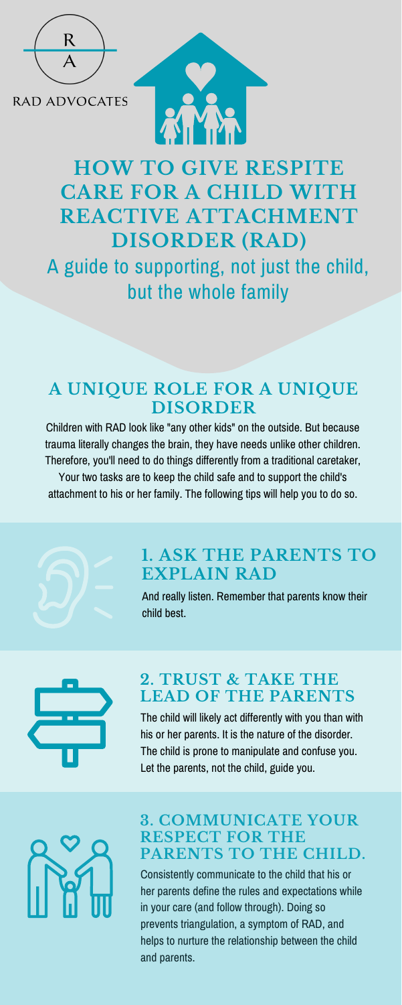

RAD ADVOCATES



# **HOW TO GIVE RESPITE CARE FOR A CHILD WITH REACTIVE ATTACHMENT DISORDER (RAD)** A guide to supporting, not just the child, but the whole family

#### **3. COMMUNICATE YOUR RESPECT FOR THE PARENTS TO THE CH**

Consistently communicate to the child that his or her parents define the rules and expectations while in your care (and follow through). Doing so prevents triangulation, a symptom of RAD, and helps to nurture the relationship between the child and parents.

## **A UNIQUE ROLE FOR A UNIQUE DISORDER**

Children with RAD look like "any other kids" on the outside. But because trauma literally changes the brain, they have needs unlike other children. Therefore, you'll need to do things differently from a traditional caretaker, Your two tasks are to keep the child safe and to support the child's attachment to his or her family. The following tips will help you to do so.



#### **2. TRUST & TAKE THE LEAD OF THE PARENTS**

The child will likely act differently with you than with his or her parents. It is the nature of the disorder. The child is prone to manipulate and confuse you. Let the parents, not the child, guide you.



## **1. ASK THE PARENTS TO EXPLAIN RAD**

And really listen. Remember that parents know their

child best.